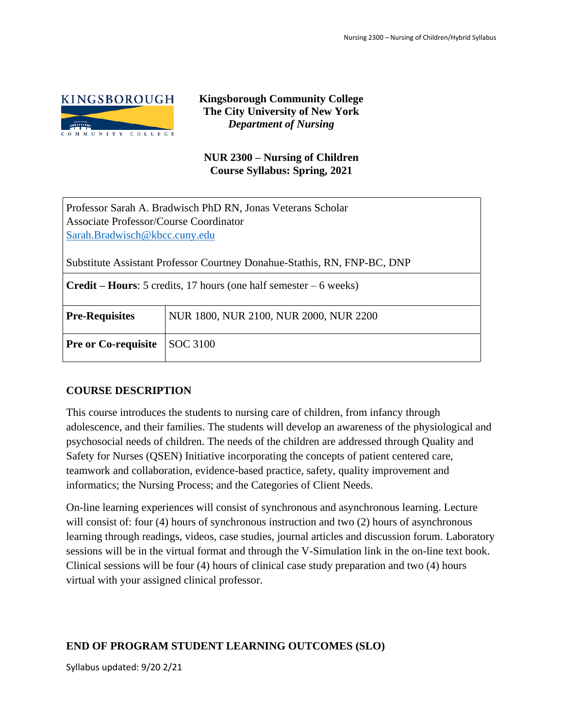

**Kingsborough Community College The City University of New York** *Department of Nursing*

# **NUR 2300 – Nursing of Children Course Syllabus: Spring, 2021**

| Professor Sarah A. Bradwisch PhD RN, Jonas Veterans Scholar |
|-------------------------------------------------------------|
| <b>Associate Professor/Course Coordinator</b>               |
| Sarah.Bradwisch@kbcc.cuny.edu                               |

Substitute Assistant Professor Courtney Donahue-Stathis, RN, FNP-BC, DNP

| <b>Credit – Hours:</b> 5 credits, 17 hours (one half semester – 6 weeks) |                                        |  |  |
|--------------------------------------------------------------------------|----------------------------------------|--|--|
| <b>Pre-Requisites</b>                                                    | NUR 1800, NUR 2100, NUR 2000, NUR 2200 |  |  |
| <b>Pre or Co-requisite</b>                                               | $\vert$ SOC 3100                       |  |  |

# **COURSE DESCRIPTION**

This course introduces the students to nursing care of children, from infancy through adolescence, and their families. The students will develop an awareness of the physiological and psychosocial needs of children. The needs of the children are addressed through Quality and Safety for Nurses (QSEN) Initiative incorporating the concepts of patient centered care, teamwork and collaboration, evidence-based practice, safety, quality improvement and informatics; the Nursing Process; and the Categories of Client Needs.

On-line learning experiences will consist of synchronous and asynchronous learning. Lecture will consist of: four (4) hours of synchronous instruction and two (2) hours of asynchronous learning through readings, videos, case studies, journal articles and discussion forum. Laboratory sessions will be in the virtual format and through the V-Simulation link in the on-line text book. Clinical sessions will be four (4) hours of clinical case study preparation and two (4) hours virtual with your assigned clinical professor.

# **END OF PROGRAM STUDENT LEARNING OUTCOMES (SLO)**

Syllabus updated: 9/20 2/21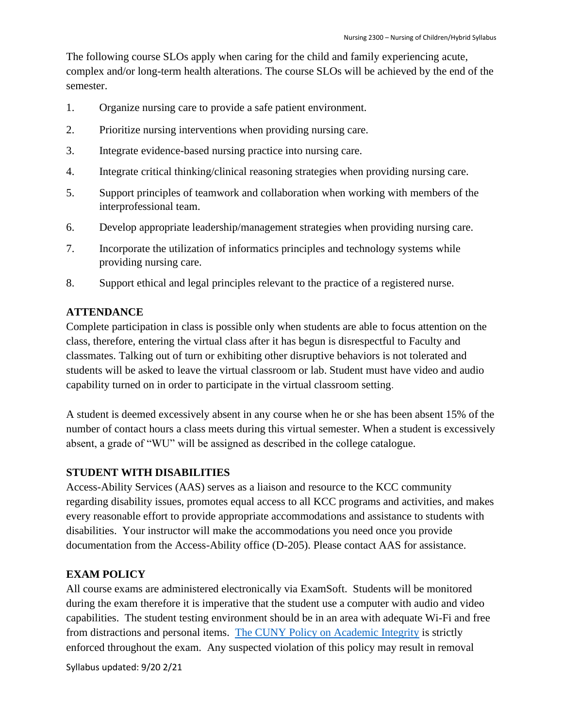The following course SLOs apply when caring for the child and family experiencing acute, complex and/or long-term health alterations. The course SLOs will be achieved by the end of the semester.

- 1. Organize nursing care to provide a safe patient environment.
- 2. Prioritize nursing interventions when providing nursing care.
- 3. Integrate evidence-based nursing practice into nursing care.
- 4. Integrate critical thinking/clinical reasoning strategies when providing nursing care.
- 5. Support principles of teamwork and collaboration when working with members of the interprofessional team.
- 6. Develop appropriate leadership/management strategies when providing nursing care.
- 7. Incorporate the utilization of informatics principles and technology systems while providing nursing care.
- 8. Support ethical and legal principles relevant to the practice of a registered nurse.

### **ATTENDANCE**

Complete participation in class is possible only when students are able to focus attention on the class, therefore, entering the virtual class after it has begun is disrespectful to Faculty and classmates. Talking out of turn or exhibiting other disruptive behaviors is not tolerated and students will be asked to leave the virtual classroom or lab. Student must have video and audio capability turned on in order to participate in the virtual classroom setting.

A student is deemed excessively absent in any course when he or she has been absent 15% of the number of contact hours a class meets during this virtual semester. When a student is excessively absent, a grade of "WU" will be assigned as described in the college catalogue.

# **STUDENT WITH DISABILITIES**

Access-Ability Services (AAS) serves as a liaison and resource to the KCC community regarding disability issues, promotes equal access to all KCC programs and activities, and makes every reasonable effort to provide appropriate accommodations and assistance to students with disabilities. Your instructor will make the accommodations you need once you provide documentation from the Access-Ability office (D-205). Please contact AAS for assistance.

# **EXAM POLICY**

All course exams are administered electronically via ExamSoft. Students will be monitored during the exam therefore it is imperative that the student use a computer with audio and video capabilities. The student testing environment should be in an area with adequate Wi-Fi and free from distractions and personal items. The CUNY [Policy on Academic Integrity](https://www.kbcc.cuny.edu/faculty_staff/documents/Academic_Integrity_Policy.pdf#search=academic%20integrity%20policy%20) is strictly enforced throughout the exam. Any suspected violation of this policy may result in removal

Syllabus updated: 9/20 2/21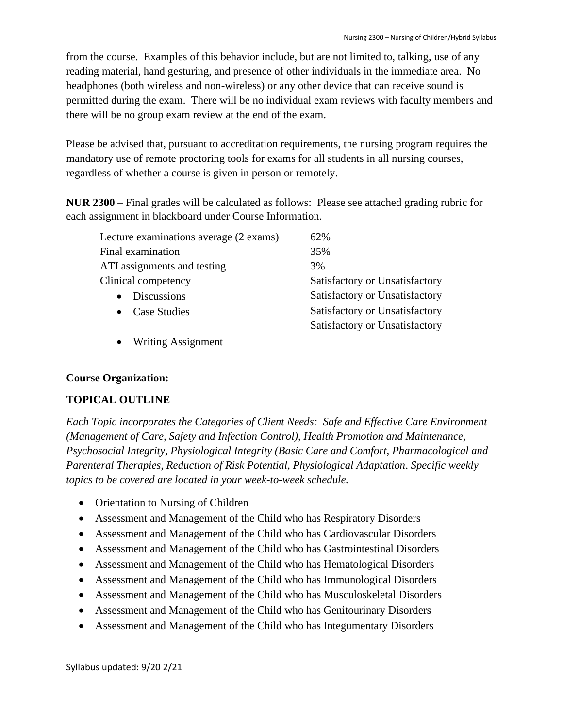from the course. Examples of this behavior include, but are not limited to, talking, use of any reading material, hand gesturing, and presence of other individuals in the immediate area. No headphones (both wireless and non-wireless) or any other device that can receive sound is permitted during the exam. There will be no individual exam reviews with faculty members and there will be no group exam review at the end of the exam.

Please be advised that, pursuant to accreditation requirements, the nursing program requires the mandatory use of remote proctoring tools for exams for all students in all nursing courses, regardless of whether a course is given in person or remotely.

**NUR 2300** – Final grades will be calculated as follows: Please see attached grading rubric for each assignment in blackboard under Course Information.

| Lecture examinations average (2 exams) | 62%                            |
|----------------------------------------|--------------------------------|
| Final examination                      | 35%                            |
| ATI assignments and testing            | 3%                             |
| Clinical competency                    | Satisfactory or Unsatisfactory |
| <b>Discussions</b><br>$\bullet$        | Satisfactory or Unsatisfactory |
| • Case Studies                         | Satisfactory or Unsatisfactory |
|                                        | Satisfactory or Unsatisfactory |
|                                        |                                |

• Writing Assignment

# **Course Organization:**

# **TOPICAL OUTLINE**

*Each Topic incorporates the Categories of Client Needs: Safe and Effective Care Environment (Management of Care, Safety and Infection Control), Health Promotion and Maintenance, Psychosocial Integrity, Physiological Integrity (Basic Care and Comfort, Pharmacological and Parenteral Therapies, Reduction of Risk Potential, Physiological Adaptation*. *Specific weekly topics to be covered are located in your week-to-week schedule.* 

- Orientation to Nursing of Children
- Assessment and Management of the Child who has Respiratory Disorders
- Assessment and Management of the Child who has Cardiovascular Disorders
- Assessment and Management of the Child who has Gastrointestinal Disorders
- Assessment and Management of the Child who has Hematological Disorders
- Assessment and Management of the Child who has Immunological Disorders
- Assessment and Management of the Child who has Musculoskeletal Disorders
- Assessment and Management of the Child who has Genitourinary Disorders
- Assessment and Management of the Child who has Integumentary Disorders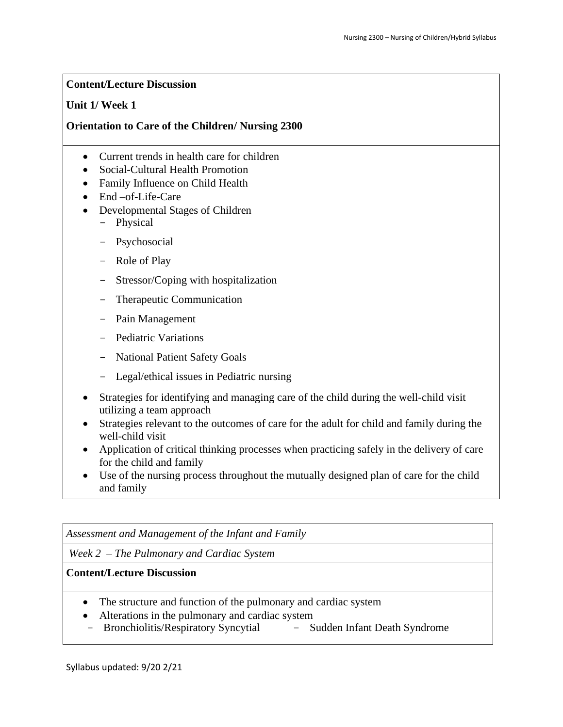### **Content/Lecture Discussion**

### **Unit 1/ Week 1**

# **Orientation to Care of the Children/ Nursing 2300**

- Current trends in health care for children
- Social-Cultural Health Promotion
- Family Influence on Child Health
- End –of-Life-Care
- Developmental Stages of Children - Physical
	- Psychosocial
	- Role of Play
	- Stressor/Coping with hospitalization
	- Therapeutic Communication
	- Pain Management
	- Pediatric Variations
	- National Patient Safety Goals
	- Legal/ethical issues in Pediatric nursing
- Strategies for identifying and managing care of the child during the well-child visit utilizing a team approach
- Strategies relevant to the outcomes of care for the adult for child and family during the well-child visit
- Application of critical thinking processes when practicing safely in the delivery of care for the child and family
- Use of the nursing process throughout the mutually designed plan of care for the child and family

*Assessment and Management of the Infant and Family*

*Week 2 – The Pulmonary and Cardiac System*

- The structure and function of the pulmonary and cardiac system
- Alterations in the pulmonary and cardiac system
- Bronchiolitis/Respiratory Syncytial Sudden Infant Death Syndrome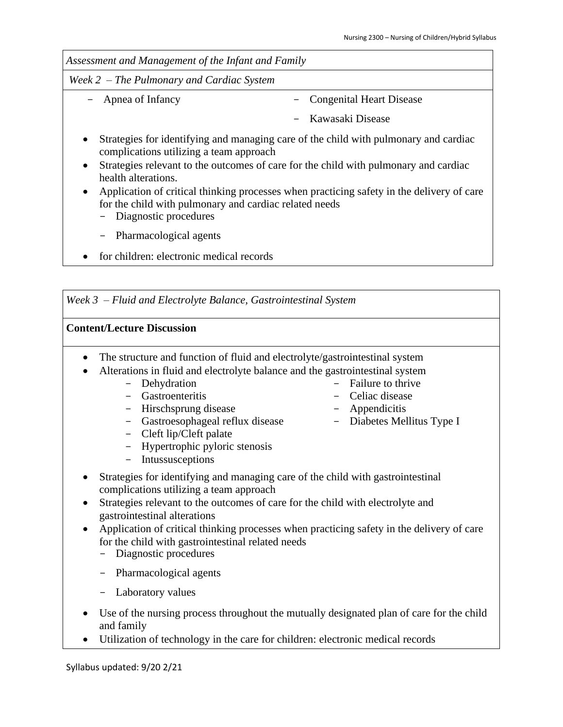| Assessment and Management of the Infant and Family                                                                                                                                          |                                                                                      |  |  |
|---------------------------------------------------------------------------------------------------------------------------------------------------------------------------------------------|--------------------------------------------------------------------------------------|--|--|
| Week $2$ – The Pulmonary and Cardiac System                                                                                                                                                 |                                                                                      |  |  |
| - Apnea of Infancy                                                                                                                                                                          | <b>Congenital Heart Disease</b>                                                      |  |  |
|                                                                                                                                                                                             | – Kawasaki Disease                                                                   |  |  |
| Strategies for identifying and managing care of the child with pulmonary and cardiac<br>$\bullet$<br>complications utilizing a team approach                                                |                                                                                      |  |  |
| $\bullet$<br>health alterations.                                                                                                                                                            | Strategies relevant to the outcomes of care for the child with pulmonary and cardiac |  |  |
| Application of critical thinking processes when practicing safety in the delivery of care<br>$\bullet$<br>for the child with pulmonary and cardiac related needs<br>- Diagnostic procedures |                                                                                      |  |  |

- Pharmacological agents
- for children: electronic medical records

*Week 3 – Fluid and Electrolyte Balance, Gastrointestinal System*

- The structure and function of fluid and electrolyte/gastrointestinal system
- Alterations in fluid and electrolyte balance and the gastrointestinal system
	- Dehydration
	- Gastroenteritis
	- Hirschsprung disease
	- Gastroesophageal reflux disease
	- Cleft lip/Cleft palate
	- Hypertrophic pyloric stenosis
	- Intussusceptions
- Strategies for identifying and managing care of the child with gastrointestinal complications utilizing a team approach
- Strategies relevant to the outcomes of care for the child with electrolyte and gastrointestinal alterations
- Application of critical thinking processes when practicing safety in the delivery of care for the child with gastrointestinal related needs
	- Diagnostic procedures
	- Pharmacological agents
	- Laboratory values
- Use of the nursing process throughout the mutually designated plan of care for the child and family
- Utilization of technology in the care for children: electronic medical records
- Failure to thrive
- Celiac disease
- Appendicitis
- Diabetes Mellitus Type I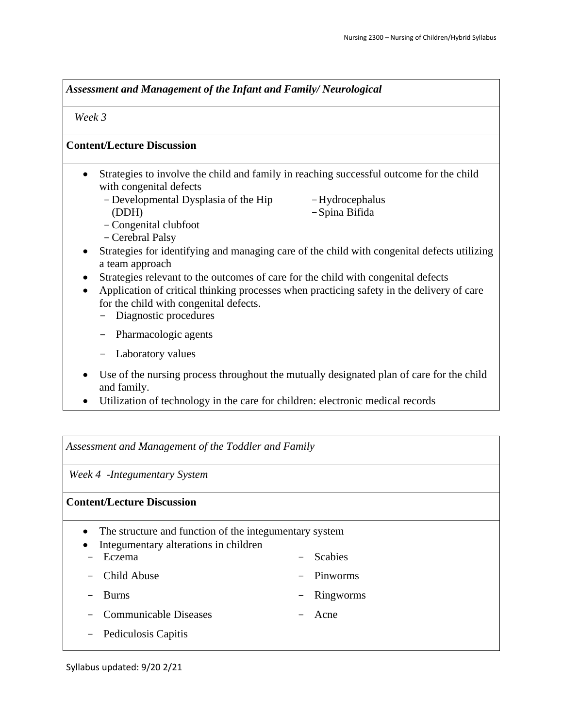*Assessment and Management of the Infant and Family/ Neurological* 

 *Week 3* 

#### **Content/Lecture Discussion**

- Strategies to involve the child and family in reaching successful outcome for the child with congenital defects
	- Developmental Dysplasia of the Hip (DDH)
- -Hydrocephalus -Spina Bifida

- -Congenital clubfoot
- -Cerebral Palsy
- Strategies for identifying and managing care of the child with congenital defects utilizing a team approach
- Strategies relevant to the outcomes of care for the child with congenital defects
- Application of critical thinking processes when practicing safety in the delivery of care for the child with congenital defects.
	- Diagnostic procedures
	- Pharmacologic agents
	- Laboratory values
- Use of the nursing process throughout the mutually designated plan of care for the child and family.
- Utilization of technology in the care for children: electronic medical records

*Assessment and Management of the Toddler and Family*

*Week 4 -Integumentary System*

### **Content/Lecture Discussion**

- The structure and function of the integumentary system
- Integumentary alterations in children
- Eczema

- Child Abuse

- **Scabies**
- Pinworms

- Burns

- Ringworms
- Communicable Diseases
- Acne

- Pediculosis Capitis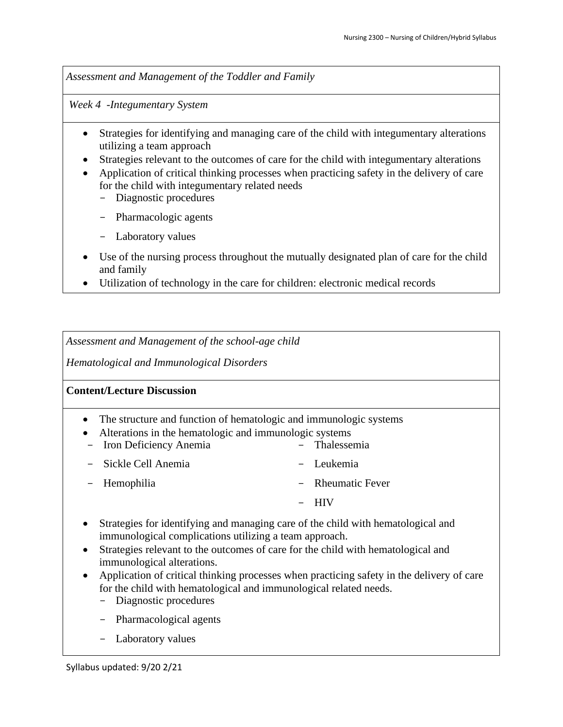*Assessment and Management of the Toddler and Family*

*Week 4 -Integumentary System*

- Strategies for identifying and managing care of the child with integumentary alterations utilizing a team approach
- Strategies relevant to the outcomes of care for the child with integumentary alterations
- Application of critical thinking processes when practicing safety in the delivery of care for the child with integumentary related needs
	- Diagnostic procedures
	- Pharmacologic agents
	- Laboratory values
- Use of the nursing process throughout the mutually designated plan of care for the child and family
- Utilization of technology in the care for children: electronic medical records

*Assessment and Management of the school-age child* 

*Hematological and Immunological Disorders* 

- The structure and function of hematologic and immunologic systems
- Alterations in the hematologic and immunologic systems
- Iron Deficiency Anemia - Sickle Cell Anemia - Thalessemia - Leukemia
- Hemophilia
- 
- Rheumatic Fever
	- HIV
- Strategies for identifying and managing care of the child with hematological and immunological complications utilizing a team approach.
- Strategies relevant to the outcomes of care for the child with hematological and immunological alterations.
- Application of critical thinking processes when practicing safety in the delivery of care for the child with hematological and immunological related needs.
	- Diagnostic procedures
	- Pharmacological agents
	- Laboratory values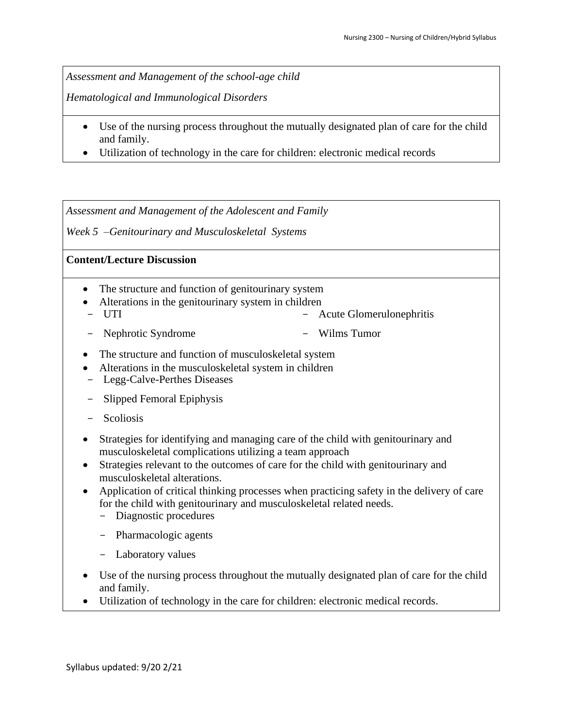*Assessment and Management of the school-age child* 

*Hematological and Immunological Disorders* 

- Use of the nursing process throughout the mutually designated plan of care for the child and family.
- Utilization of technology in the care for children: electronic medical records

*Assessment and Management of the Adolescent and Family*

*Week 5 –Genitourinary and Musculoskeletal Systems*

- The structure and function of genitourinary system
- Alterations in the genitourinary system in children
- UTI - Acute Glomerulonephritis
- Nephrotic Syndrome - Wilms Tumor
- The structure and function of musculoskeletal system
- Alterations in the musculoskeletal system in children
- Legg-Calve-Perthes Diseases
- Slipped Femoral Epiphysis
- Scoliosis
- Strategies for identifying and managing care of the child with genitourinary and musculoskeletal complications utilizing a team approach
- Strategies relevant to the outcomes of care for the child with genitourinary and musculoskeletal alterations.
- Application of critical thinking processes when practicing safety in the delivery of care for the child with genitourinary and musculoskeletal related needs.
	- Diagnostic procedures
	- Pharmacologic agents
	- Laboratory values
- Use of the nursing process throughout the mutually designated plan of care for the child and family.
- Utilization of technology in the care for children: electronic medical records.